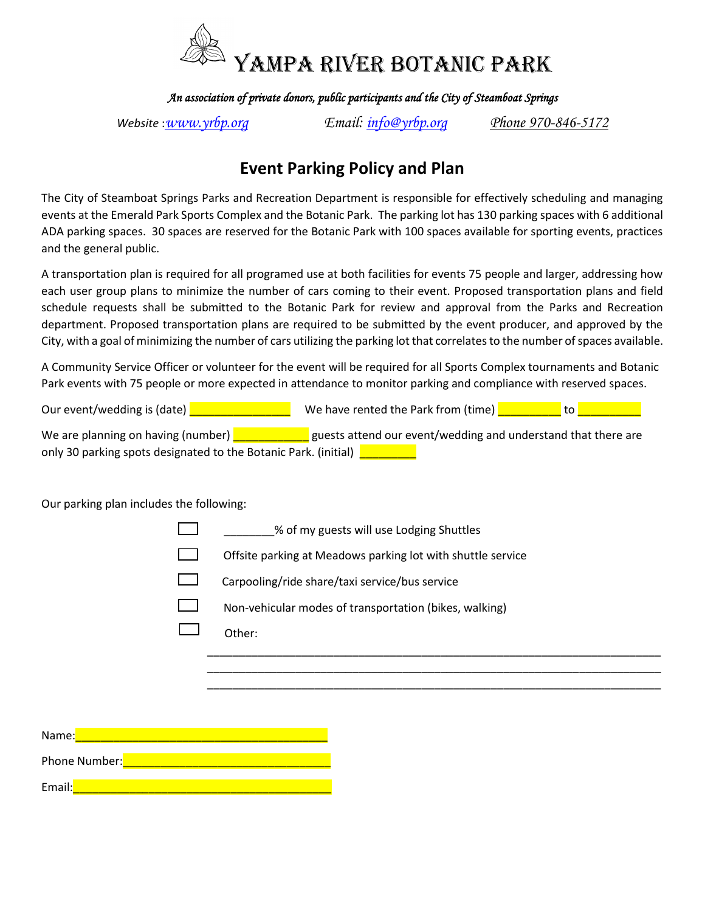

*An association of private donors, public participants and the City of Steamboat Springs* 

*Website* :*[www.yrbp.org](http://www.yrbp.org/) Email: [info@yrbp.org](mailto:info@yrbp.org) [Phone 970-846-5172](Tel:970-846-5172)*

## **Event Parking Policy and Plan**

The City of Steamboat Springs Parks and Recreation Department is responsible for effectively scheduling and managing events at the Emerald Park Sports Complex and the Botanic Park. The parking lot has 130 parking spaces with 6 additional ADA parking spaces. 30 spaces are reserved for the Botanic Park with 100 spaces available for sporting events, practices and the general public.

A transportation plan is required for all programed use at both facilities for events 75 people and larger, addressing how each user group plans to minimize the number of cars coming to their event. Proposed transportation plans and field schedule requests shall be submitted to the Botanic Park for review and approval from the Parks and Recreation department. Proposed transportation plans are required to be submitted by the event producer, and approved by the City, with a goal of minimizing the number of cars utilizing the parking lot that correlates to the number of spaces available.

A Community Service Officer or volunteer for the event will be required for all Sports Complex tournaments and Botanic Park events with 75 people or more expected in attendance to monitor parking and compliance with reserved spaces.

| Our event/wedding is (date)                                     | We have rented the Park from (time)<br>to                     |
|-----------------------------------------------------------------|---------------------------------------------------------------|
| We are planning on having (number)                              | guests attend our event/wedding and understand that there are |
| only 30 parking spots designated to the Botanic Park. (initial) |                                                               |

Our parking plan includes the following:

\_\_\_\_\_\_\_\_% of my guests will use Lodging Shuttles

Offsite parking at Meadows parking lot with shuttle service

\_\_\_\_\_\_\_\_\_\_\_\_\_\_\_\_\_\_\_\_\_\_\_\_\_\_\_\_\_\_\_\_\_\_\_\_\_\_\_\_\_\_\_\_\_\_\_\_\_\_\_\_\_\_\_\_\_\_\_\_\_\_\_\_\_\_\_\_\_\_\_\_ \_\_\_\_\_\_\_\_\_\_\_\_\_\_\_\_\_\_\_\_\_\_\_\_\_\_\_\_\_\_\_\_\_\_\_\_\_\_\_\_\_\_\_\_\_\_\_\_\_\_\_\_\_\_\_\_\_\_\_\_\_\_\_\_\_\_\_\_\_\_\_\_ \_\_\_\_\_\_\_\_\_\_\_\_\_\_\_\_\_\_\_\_\_\_\_\_\_\_\_\_\_\_\_\_\_\_\_\_\_\_\_\_\_\_\_\_\_\_\_\_\_\_\_\_\_\_\_\_\_\_\_\_\_\_\_\_\_\_\_\_\_\_\_\_

Carpooling/ride share/taxi service/bus service

- Non-vehicular modes of transportation (bikes, walking)
- Other:

Name: Phone Number:\_\_\_\_\_\_\_\_\_\_\_\_\_\_\_\_\_\_\_\_\_\_\_\_\_\_\_\_\_\_\_\_\_ Email:\_\_\_\_\_\_\_\_\_\_\_\_\_\_\_\_\_\_\_\_\_\_\_\_\_\_\_\_\_\_\_\_\_\_\_\_\_\_\_\_\_